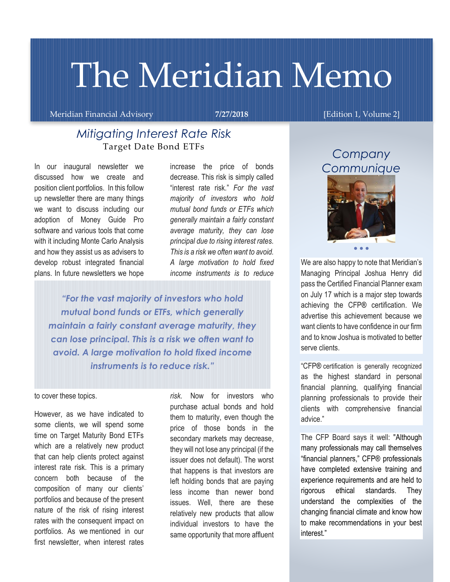# The Meridian Memo

Meridian Financial Advisory **7/27/2018** [Edition 1, Volume 2]

## *Mitigating Interest Rate Risk* Target Date Bond ETFs

In our inaugural newsletter we discussed how we create and position client portfolios. In this follow up newsletter there are many things we want to discuss including our adoption of Money Guide Pro software and various tools that come with it including Monte Carlo Analysis and how they assist us as advisers to develop robust integrated financial plans. In future newsletters we hope

increase the price of bonds decrease. This risk is simply called "interest rate risk." *For the vast majority of investors who hold mutual bond funds or ETFs which generally maintain a fairly constant average maturity, they can lose principal due to rising interest rates. This is a risk we often want to avoid. A large motivation to hold fixed income instruments is to reduce* 

*"For the vast majority of investors who hold mutual bond funds or ETFs, which generally maintain a fairly constant average maturity, they can lose principal. This is a risk we often want to avoid. A large motivation to hold fixed income instruments is to reduce risk."*

#### to cover these topics.

However, as we have indicated to some clients, we will spend some time on Target Maturity Bond ETFs which are a relatively new product that can help clients protect against interest rate risk. This is a primary concern both because of the composition of many our clients' portfolios and because of the present nature of the risk of rising interest rates with the consequent impact on portfolios. As we mentioned in our first newsletter, when interest rates

*risk.* Now for investors who purchase actual bonds and hold them to maturity, even though the price of those bonds in the secondary markets may decrease, they will not lose any principal (if the issuer does not default). The worst that happens is that investors are left holding bonds that are paying less income than newer bond issues. Well, there are these relatively new products that allow individual investors to have the same opportunity that more affluent

# *Company Communique*



We are also happy to note that Meridian's Managing Principal Joshua Henry did pass the Certified Financial Planner exam on July 17 which is a major step towards achieving the CFP® certification. We advertise this achievement because we want clients to have confidence in our firm and to know Joshua is motivated to better serve clients.

"CFP® certification is generally recognized as the highest standard in personal financial planning, qualifying financial planning professionals to provide their clients with comprehensive financial advice."

The CFP Board says it well: "Although many professionals may call themselves "financial planners," CFP® professionals have completed extensive training and experience requirements and are held to rigorous ethical standards. They understand the complexities of the changing financial climate and know how to make recommendations in your best interest."